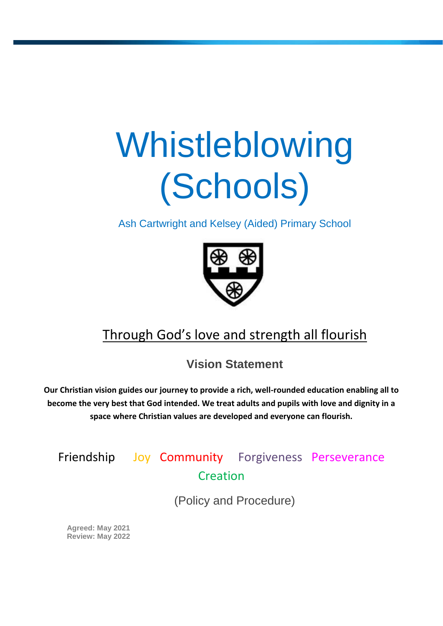# Whistleblowing (Schools)

Ash Cartwright and Kelsey (Aided) Primary School



# Through God's love and strength all flourish

**Vision Statement**

**Our Christian vision guides our journey to provide a rich, well-rounded education enabling all to become the very best that God intended. We treat adults and pupils with love and dignity in a space where Christian values are developed and everyone can flourish.**

# Friendship Joy Community Forgiveness Perseverance Creation

(Policy and Procedure)

**Agreed: May 2021 Review: May 2022**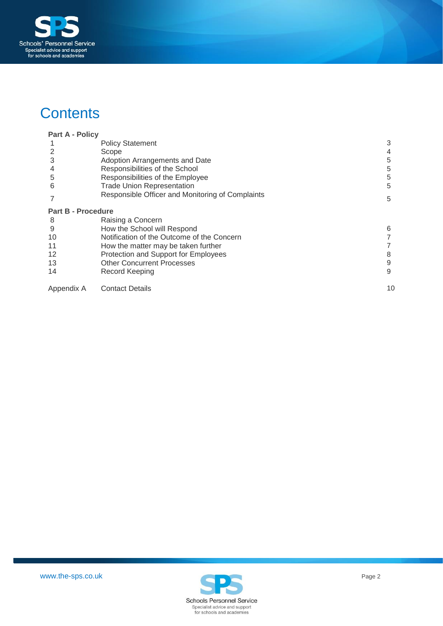

# **Contents**

| <b>Part A - Policy</b>    |                                                  |    |
|---------------------------|--------------------------------------------------|----|
|                           | <b>Policy Statement</b>                          | 3  |
| 2                         | Scope                                            |    |
| 3                         | Adoption Arrangements and Date                   | 5  |
|                           | Responsibilities of the School                   | 5  |
| 5                         | Responsibilities of the Employee                 | 5  |
| 6                         | <b>Trade Union Representation</b>                | 5  |
|                           | Responsible Officer and Monitoring of Complaints | 5  |
| <b>Part B - Procedure</b> |                                                  |    |
| 8                         | Raising a Concern                                |    |
| 9                         | How the School will Respond                      | 6  |
| 10                        | Notification of the Outcome of the Concern       |    |
| 11                        | How the matter may be taken further              |    |
| 12                        | Protection and Support for Employees             | 8  |
| 13                        | <b>Other Concurrent Processes</b>                | 9  |
| 14                        | Record Keeping                                   | 9  |
| Appendix A                | <b>Contact Details</b>                           | 10 |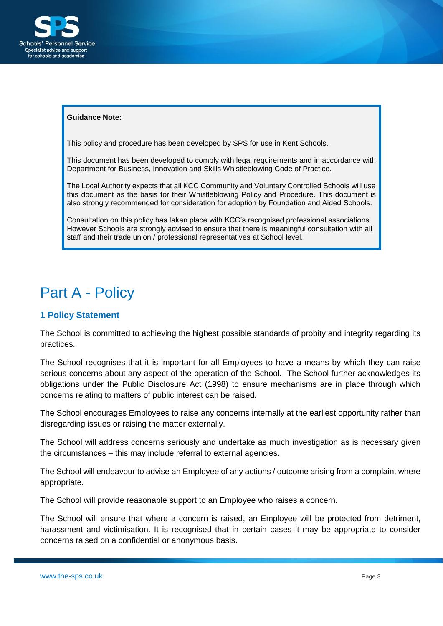

#### **Guidance Note:**

This policy and procedure has been developed by SPS for use in Kent Schools.

This document has been developed to comply with legal requirements and in accordance with Department for Business, Innovation and Skills Whistleblowing Code of Practice.

The Local Authority expects that all KCC Community and Voluntary Controlled Schools will use this document as the basis for their Whistleblowing Policy and Procedure. This document is also strongly recommended for consideration for adoption by Foundation and Aided Schools.

Consultation on this policy has taken place with KCC's recognised professional associations. However Schools are strongly advised to ensure that there is meaningful consultation with all staff and their trade union / professional representatives at School level.

# <span id="page-2-0"></span>Part A - Policy

#### <span id="page-2-1"></span>**1 Policy Statement**

The School is committed to achieving the highest possible standards of probity and integrity regarding its practices.

The School recognises that it is important for all Employees to have a means by which they can raise serious concerns about any aspect of the operation of the School. The School further acknowledges its obligations under the Public Disclosure Act (1998) to ensure mechanisms are in place through which concerns relating to matters of public interest can be raised.

The School encourages Employees to raise any concerns internally at the earliest opportunity rather than disregarding issues or raising the matter externally.

The School will address concerns seriously and undertake as much investigation as is necessary given the circumstances – this may include referral to external agencies.

The School will endeavour to advise an Employee of any actions / outcome arising from a complaint where appropriate.

The School will provide reasonable support to an Employee who raises a concern.

The School will ensure that where a concern is raised, an Employee will be protected from detriment, harassment and victimisation. It is recognised that in certain cases it may be appropriate to consider concerns raised on a confidential or anonymous basis.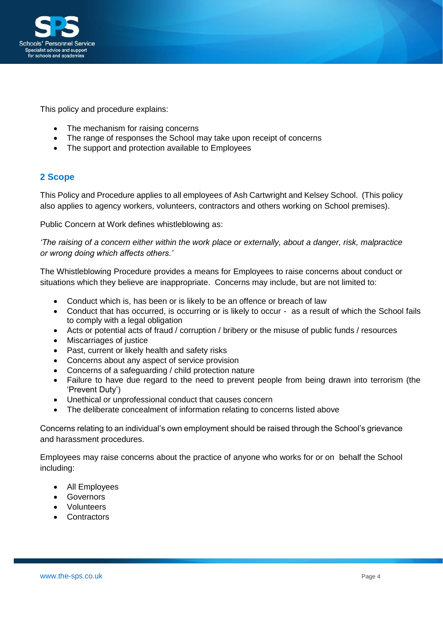

This policy and procedure explains:

- The mechanism for raising concerns
- The range of responses the School may take upon receipt of concerns
- The support and protection available to Employees

## <span id="page-3-0"></span>**2 Scope**

This Policy and Procedure applies to all employees of Ash Cartwright and Kelsey School. (This policy also applies to agency workers, volunteers, contractors and others working on School premises).

Public Concern at Work defines whistleblowing as:

*'The raising of a concern either within the work place or externally, about a danger, risk, malpractice or wrong doing which affects others.'*

The Whistleblowing Procedure provides a means for Employees to raise concerns about conduct or situations which they believe are inappropriate. Concerns may include, but are not limited to:

- Conduct which is, has been or is likely to be an offence or breach of law
- Conduct that has occurred, is occurring or is likely to occur as a result of which the School fails to comply with a legal obligation
- Acts or potential acts of fraud / corruption / bribery or the misuse of public funds / resources
- Miscarriages of justice
- Past, current or likely health and safety risks
- Concerns about any aspect of service provision
- Concerns of a safeguarding / child protection nature
- Failure to have due regard to the need to prevent people from being drawn into terrorism (the 'Prevent Duty')
- Unethical or unprofessional conduct that causes concern
- The deliberate concealment of information relating to concerns listed above

Concerns relating to an individual's own employment should be raised through the School's grievance and harassment procedures.

Employees may raise concerns about the practice of anyone who works for or on behalf the School including:

- All Employees
- Governors
- Volunteers
- Contractors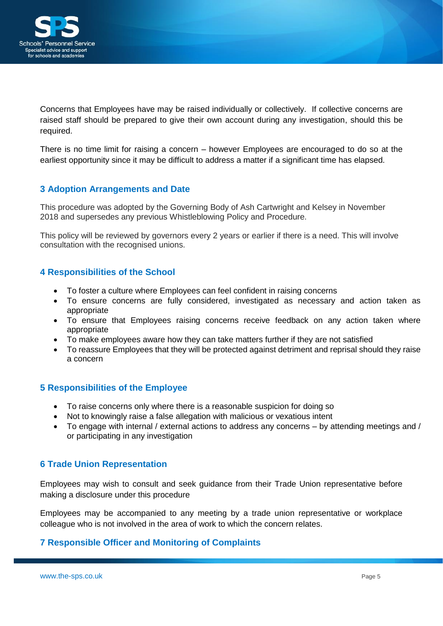

Concerns that Employees have may be raised individually or collectively. If collective concerns are raised staff should be prepared to give their own account during any investigation, should this be required.

There is no time limit for raising a concern – however Employees are encouraged to do so at the earliest opportunity since it may be difficult to address a matter if a significant time has elapsed.

## <span id="page-4-0"></span>**3 Adoption Arrangements and Date**

This procedure was adopted by the Governing Body of Ash Cartwright and Kelsey in November 2018 and supersedes any previous Whistleblowing Policy and Procedure.

This policy will be reviewed by governors every 2 years or earlier if there is a need. This will involve consultation with the recognised unions.

## <span id="page-4-1"></span>**4 Responsibilities of the School**

- To foster a culture where Employees can feel confident in raising concerns
- To ensure concerns are fully considered, investigated as necessary and action taken as appropriate
- To ensure that Employees raising concerns receive feedback on any action taken where appropriate
- To make employees aware how they can take matters further if they are not satisfied
- To reassure Employees that they will be protected against detriment and reprisal should they raise a concern

#### <span id="page-4-2"></span>**5 Responsibilities of the Employee**

- To raise concerns only where there is a reasonable suspicion for doing so
- Not to knowingly raise a false allegation with malicious or vexatious intent
- To engage with internal / external actions to address any concerns by attending meetings and / or participating in any investigation

#### <span id="page-4-3"></span>**6 Trade Union Representation**

Employees may wish to consult and seek guidance from their Trade Union representative before making a disclosure under this procedure

Employees may be accompanied to any meeting by a trade union representative or workplace colleague who is not involved in the area of work to which the concern relates.

## <span id="page-4-4"></span>**7 Responsible Officer and Monitoring of Complaints**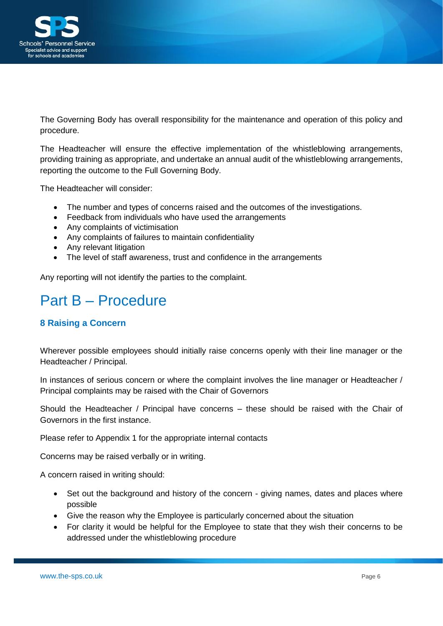

The Governing Body has overall responsibility for the maintenance and operation of this policy and procedure.

The Headteacher will ensure the effective implementation of the whistleblowing arrangements, providing training as appropriate, and undertake an annual audit of the whistleblowing arrangements, reporting the outcome to the Full Governing Body.

The Headteacher will consider:

- The number and types of concerns raised and the outcomes of the investigations.
- Feedback from individuals who have used the arrangements
- Any complaints of victimisation
- Any complaints of failures to maintain confidentiality
- Any relevant litigation
- The level of staff awareness, trust and confidence in the arrangements

Any reporting will not identify the parties to the complaint.

# Part B – Procedure

## **8 Raising a Concern**

Wherever possible employees should initially raise concerns openly with their line manager or the Headteacher / Principal.

In instances of serious concern or where the complaint involves the line manager or Headteacher / Principal complaints may be raised with the Chair of Governors

Should the Headteacher / Principal have concerns – these should be raised with the Chair of Governors in the first instance.

Please refer to Appendix 1 for the appropriate internal contacts

Concerns may be raised verbally or in writing.

A concern raised in writing should:

- Set out the background and history of the concern giving names, dates and places where possible
- Give the reason why the Employee is particularly concerned about the situation
- For clarity it would be helpful for the Employee to state that they wish their concerns to be addressed under the whistleblowing procedure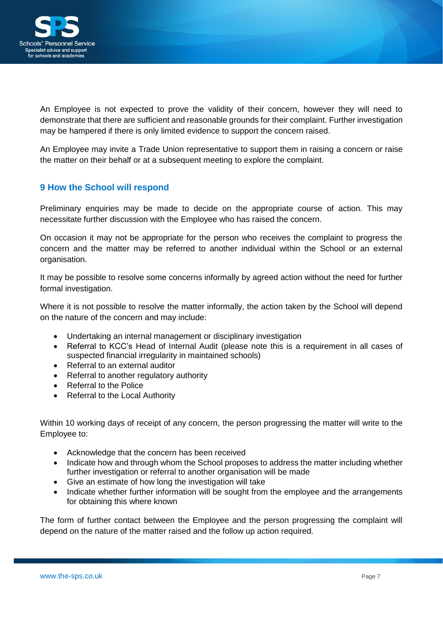

An Employee is not expected to prove the validity of their concern, however they will need to demonstrate that there are sufficient and reasonable grounds for their complaint. Further investigation may be hampered if there is only limited evidence to support the concern raised.

An Employee may invite a Trade Union representative to support them in raising a concern or raise the matter on their behalf or at a subsequent meeting to explore the complaint.

## <span id="page-6-0"></span>**9 How the School will respond**

Preliminary enquiries may be made to decide on the appropriate course of action. This may necessitate further discussion with the Employee who has raised the concern.

On occasion it may not be appropriate for the person who receives the complaint to progress the concern and the matter may be referred to another individual within the School or an external organisation.

It may be possible to resolve some concerns informally by agreed action without the need for further formal investigation.

Where it is not possible to resolve the matter informally, the action taken by the School will depend on the nature of the concern and may include:

- Undertaking an internal management or disciplinary investigation
- Referral to KCC's Head of Internal Audit (please note this is a requirement in all cases of suspected financial irregularity in maintained schools)
- Referral to an external auditor
- Referral to another regulatory authority
- Referral to the Police
- Referral to the Local Authority

Within 10 working days of receipt of any concern, the person progressing the matter will write to the Employee to:

- Acknowledge that the concern has been received
- Indicate how and through whom the School proposes to address the matter including whether further investigation or referral to another organisation will be made
- Give an estimate of how long the investigation will take
- Indicate whether further information will be sought from the employee and the arrangements for obtaining this where known

The form of further contact between the Employee and the person progressing the complaint will depend on the nature of the matter raised and the follow up action required.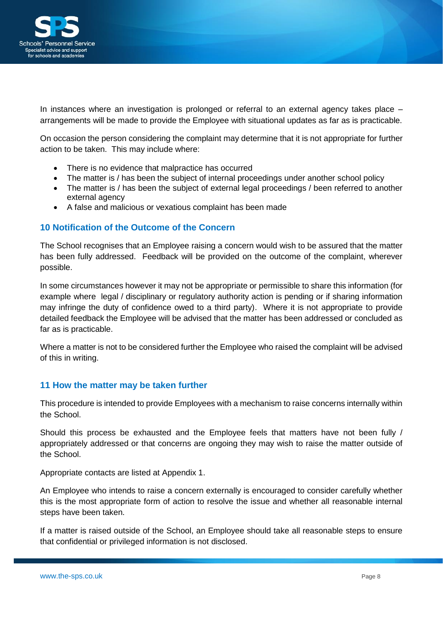

In instances where an investigation is prolonged or referral to an external agency takes place – arrangements will be made to provide the Employee with situational updates as far as is practicable.

On occasion the person considering the complaint may determine that it is not appropriate for further action to be taken. This may include where:

- There is no evidence that malpractice has occurred
- The matter is / has been the subject of internal proceedings under another school policy
- The matter is / has been the subject of external legal proceedings / been referred to another external agency
- A false and malicious or vexatious complaint has been made

## <span id="page-7-0"></span>**10 Notification of the Outcome of the Concern**

The School recognises that an Employee raising a concern would wish to be assured that the matter has been fully addressed. Feedback will be provided on the outcome of the complaint, wherever possible.

In some circumstances however it may not be appropriate or permissible to share this information (for example where legal / disciplinary or regulatory authority action is pending or if sharing information may infringe the duty of confidence owed to a third party). Where it is not appropriate to provide detailed feedback the Employee will be advised that the matter has been addressed or concluded as far as is practicable.

Where a matter is not to be considered further the Employee who raised the complaint will be advised of this in writing.

#### <span id="page-7-1"></span>**11 How the matter may be taken further**

This procedure is intended to provide Employees with a mechanism to raise concerns internally within the School.

Should this process be exhausted and the Employee feels that matters have not been fully / appropriately addressed or that concerns are ongoing they may wish to raise the matter outside of the School.

Appropriate contacts are listed at Appendix 1.

An Employee who intends to raise a concern externally is encouraged to consider carefully whether this is the most appropriate form of action to resolve the issue and whether all reasonable internal steps have been taken.

If a matter is raised outside of the School, an Employee should take all reasonable steps to ensure that confidential or privileged information is not disclosed.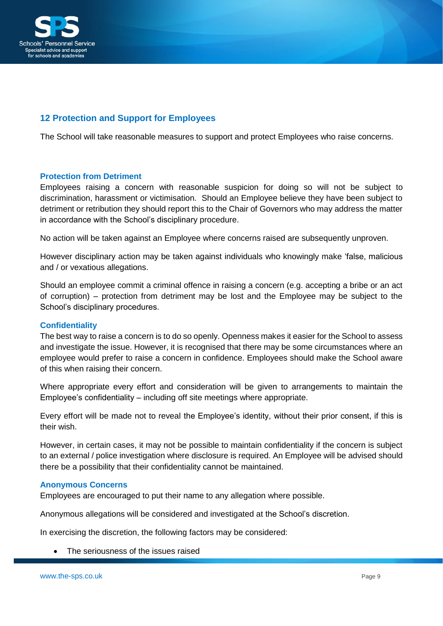

# <span id="page-8-0"></span>**12 Protection and Support for Employees**

The School will take reasonable measures to support and protect Employees who raise concerns.

#### **Protection from Detriment**

Employees raising a concern with reasonable suspicion for doing so will not be subject to discrimination, harassment or victimisation. Should an Employee believe they have been subject to detriment or retribution they should report this to the Chair of Governors who may address the matter in accordance with the School's disciplinary procedure.

No action will be taken against an Employee where concerns raised are subsequently unproven.

However disciplinary action may be taken against individuals who knowingly make 'false, malicious and / or vexatious allegations.

Should an employee commit a criminal offence in raising a concern (e.g. accepting a bribe or an act of corruption) – protection from detriment may be lost and the Employee may be subject to the School's disciplinary procedures.

#### **Confidentiality**

The best way to raise a concern is to do so openly. Openness makes it easier for the School to assess and investigate the issue. However, it is recognised that there may be some circumstances where an employee would prefer to raise a concern in confidence. Employees should make the School aware of this when raising their concern.

Where appropriate every effort and consideration will be given to arrangements to maintain the Employee's confidentiality – including off site meetings where appropriate.

Every effort will be made not to reveal the Employee's identity, without their prior consent, if this is their wish.

However, in certain cases, it may not be possible to maintain confidentiality if the concern is subject to an external / police investigation where disclosure is required. An Employee will be advised should there be a possibility that their confidentiality cannot be maintained.

#### **Anonymous Concerns**

Employees are encouraged to put their name to any allegation where possible.

Anonymous allegations will be considered and investigated at the School's discretion.

In exercising the discretion, the following factors may be considered:

The seriousness of the issues raised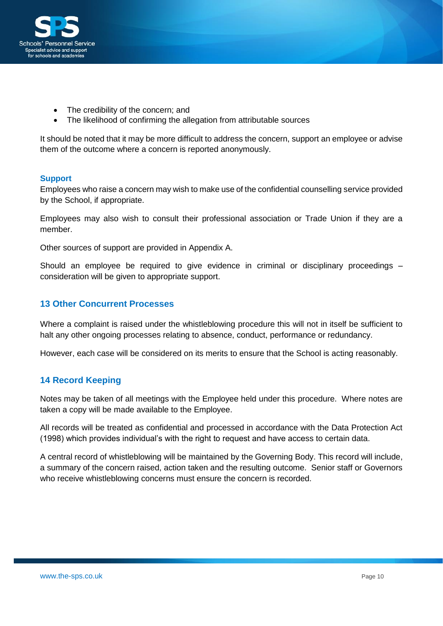

- The credibility of the concern; and
- The likelihood of confirming the allegation from attributable sources

It should be noted that it may be more difficult to address the concern, support an employee or advise them of the outcome where a concern is reported anonymously.

#### **Support**

Employees who raise a concern may wish to make use of the confidential counselling service provided by the School, if appropriate.

Employees may also wish to consult their professional association or Trade Union if they are a member.

Other sources of support are provided in Appendix A.

Should an employee be required to give evidence in criminal or disciplinary proceedings – consideration will be given to appropriate support.

#### <span id="page-9-0"></span>**13 Other Concurrent Processes**

Where a complaint is raised under the whistleblowing procedure this will not in itself be sufficient to halt any other ongoing processes relating to absence, conduct, performance or redundancy.

However, each case will be considered on its merits to ensure that the School is acting reasonably.

## **14 Record Keeping**

Notes may be taken of all meetings with the Employee held under this procedure. Where notes are taken a copy will be made available to the Employee.

All records will be treated as confidential and processed in accordance with the Data Protection Act (1998) which provides individual's with the right to request and have access to certain data.

A central record of whistleblowing will be maintained by the Governing Body. This record will include, a summary of the concern raised, action taken and the resulting outcome. Senior staff or Governors who receive whistleblowing concerns must ensure the concern is recorded.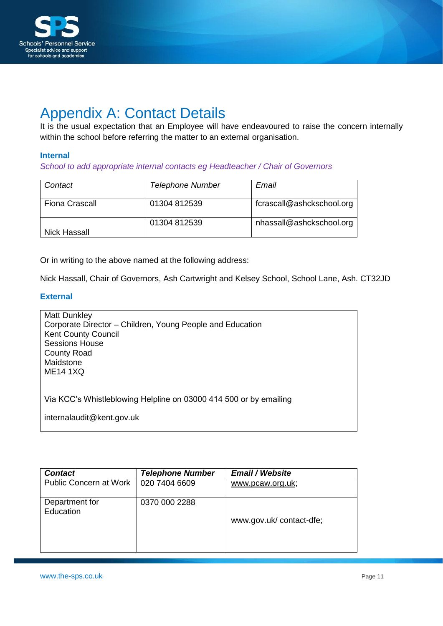

# <span id="page-10-0"></span>Appendix A: Contact Details

It is the usual expectation that an Employee will have endeavoured to raise the concern internally within the school before referring the matter to an external organisation.

#### **Internal**

*School to add appropriate internal contacts eg Headteacher / Chair of Governors*

| Contact               | <b>Telephone Number</b> | Email                     |
|-----------------------|-------------------------|---------------------------|
| <b>Fiona Crascall</b> | 01304 812539            | fcrascall@ashckschool.org |
| Nick Hassall          | 01304 812539            | nhassall@ashckschool.org  |

Or in writing to the above named at the following address:

Nick Hassall, Chair of Governors, Ash Cartwright and Kelsey School, School Lane, Ash. CT32JD

#### **External**

| <b>Matt Dunkley</b><br>Corporate Director – Children, Young People and Education<br><b>Kent County Council</b><br><b>Sessions House</b><br><b>County Road</b><br>Maidstone<br><b>ME14 1XQ</b> |
|-----------------------------------------------------------------------------------------------------------------------------------------------------------------------------------------------|
| Via KCC's Whistleblowing Helpline on 03000 414 500 or by emailing                                                                                                                             |
| internalaudit@kent.gov.uk                                                                                                                                                                     |

| <b>Contact</b>                | <b>Telephone Number</b> | <b>Email / Website</b>  |
|-------------------------------|-------------------------|-------------------------|
| <b>Public Concern at Work</b> | 020 7404 6609           | www.pcaw.org.uk;        |
| Department for<br>Education   | 0370 000 2288           | www.gov.uk/contact-dfe; |